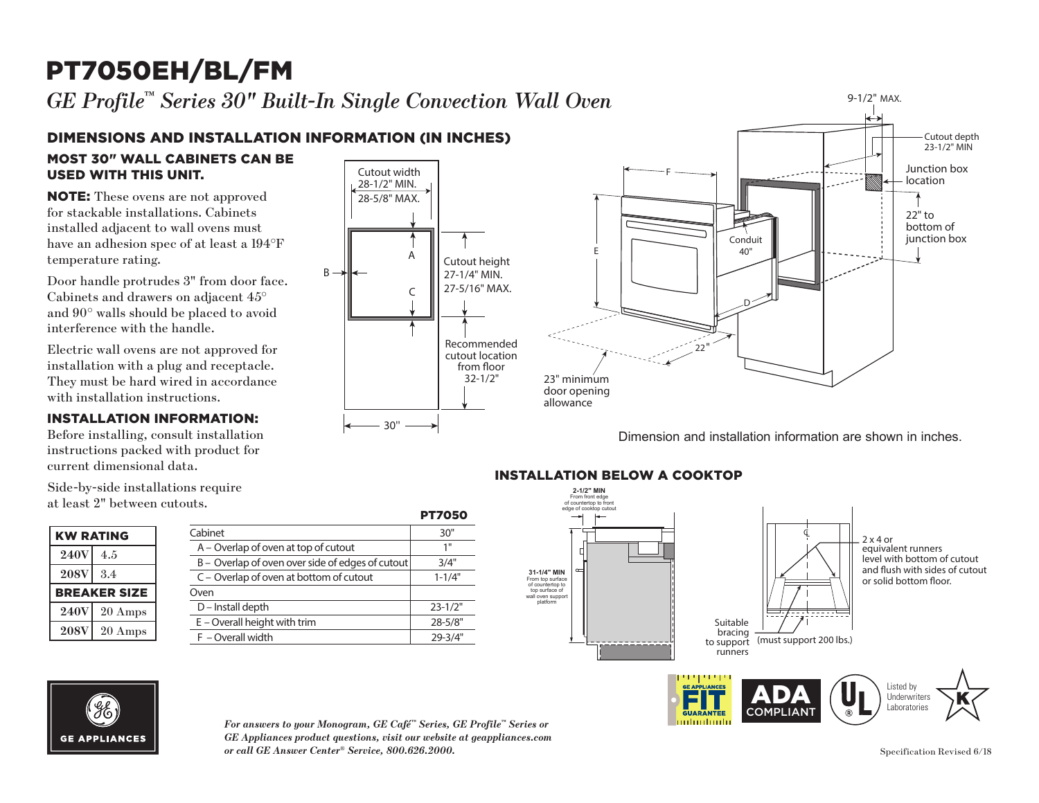#### PT7050EH/BL/FM 23-1/2" MIN



C

recommended to the top of the second to the second second to the second second to the second second to the second second second to the second second second second second second second second second second second second sec cutout location from oor 32-1/2"

30''

27-1/4" MIN.  $27-1$ 

A

 $\mathcal{C}$ 

 $\subset$  || 27-5/16" MAX.

from floor 32-1/2"

Cutout height 27-1/4" MIN.

 $\vert$  28-5/8" MAX.

Cutout width 28-1/2" MIN.

28-1/2" MIN. 28-5/8" MAX.

B

### DIMENSIONS AND INSTALLATION INFORMATION (IN INCHES)

**MOST 30" WALL CABINETS CAN BE** USED WITH THIS UNIT.

**NOTE:** These ovens are not approved for stackable installations. Cabinets installed adjacent to wall ovens must have an adhesion spec of at least a 194°F temperature rating.

> Door handle protrudes 3" from door face. Cabinets and drawers on adjacent 45° and 90° walls should be placed to avoid interference with the handle.

Electric wall ovens are not approved for installation with a plug and receptacle. They must be hard wired in accordance with installation instructions.

#### INSTALLATION INFORMATION:

Before installing, consult installation instructions packed with product for current dimensional data.

Side-by-side installations require at least 2" between cutouts.  $\frac{a}{b}$ 

| <b>KW RATING</b> |                     |
|------------------|---------------------|
| <b>240V</b>      | 4.5                 |
| <b>208V</b>      | 3.4                 |
|                  | <b>BREAKER SIZE</b> |
| <b>240V</b>      | $20 \text{ Amps}$   |
|                  |                     |

| .vu.s.                                           | <b>PT7050</b> |
|--------------------------------------------------|---------------|
| Cabinet                                          | 30"           |
| A – Overlap of oven at top of cutout             | 1"            |
| B - Overlap of oven over side of edges of cutout | 3/4"          |
| C – Overlap of oven at bottom of cutout          | $1 - 1/4"$    |
| Oven                                             |               |
| D - Install depth                                | $23 - 1/2"$   |
| $E$ – Overall height with trim                   | 28-5/8"       |
| F - Overall width                                | 29-3/4"       |



Dimension and installation information are shown in inches.

#### **JT5000 INSTALLATION BELOW A COOKTOP**



Innhuntmitii



*For answers to your Monogram, GE Café™ Series, GE Profile™ Series or GE Appliances product questions, visit our website at geappliances.com or call GE Answer Center® Service, 800.626.2000.* Specification Revised 6/18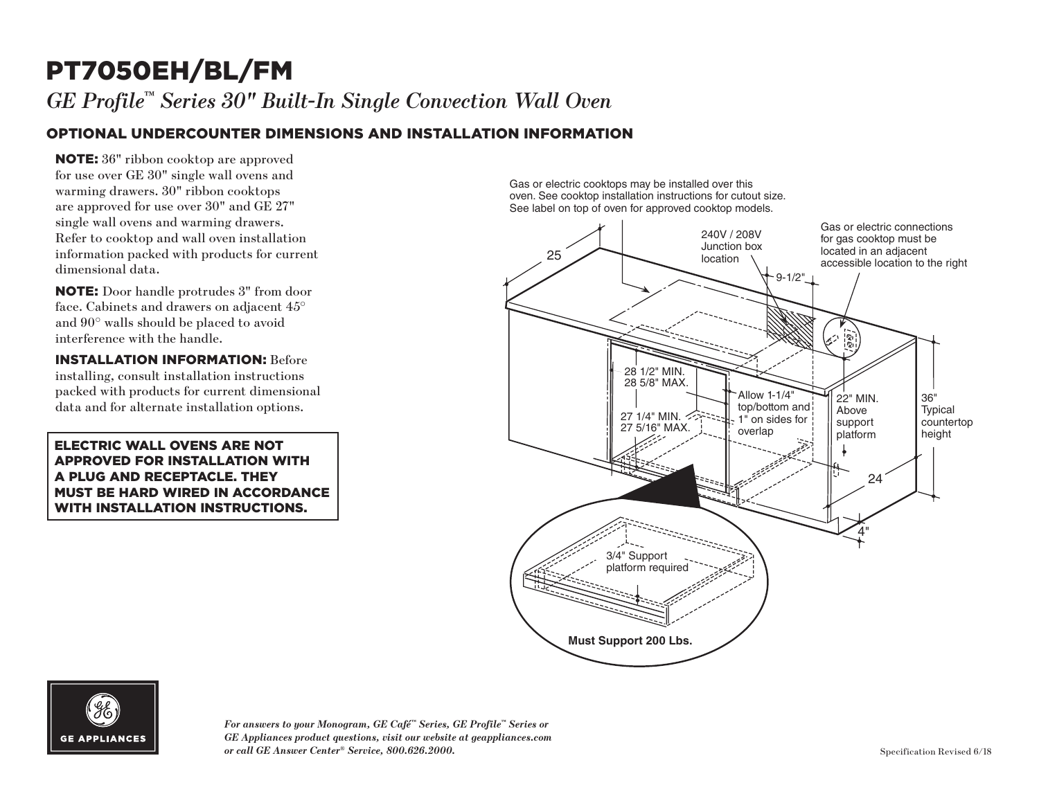# PT7050EH/BL/FM

*GE Profile™ Series 30" Built-In Single Convection Wall Oven*

#### OPTIONAL UNDERCOUNTER DIMENSIONS AND INSTALLATION INFORMATION

NOTE: 36" ribbon cooktop are approved for use over GE 30" single wall ovens and warming drawers. 30" ribbon cooktops are approved for use over 30" and GE 27" single wall ovens and warming drawers. Refer to cooktop and wall oven installation information packed with products for current dimensional data.

NOTE: Door handle protrudes 3" from door face. Cabinets and drawers on adjacent 45° and 90° walls should be placed to avoid interference with the handle.

INSTALLATION INFORMATION: Before installing, consult installation instructions packed with products for current dimensional data and for alternate installation options.

ELECTRIC WALL OVENS ARE NOT APPROVED FOR INSTALLATION WITH A PLUG AND RECEPTACLE. THEY MUST BE HARD WIRED IN ACCORDANCE WITH INSTALLATION INSTRUCTIONS.

Gas or electric cooktops may be installed over this oven. See cooktop installation instructions for cutout size. See label on top of oven for approved cooktop models.





*For answers to your Monogram, GE Café™ Series, GE Profile™ Series or GE Appliances product questions, visit our website at geappliances.com or call GE Answer Center® Service, 800.626.2000.* Specification Revised 6/18